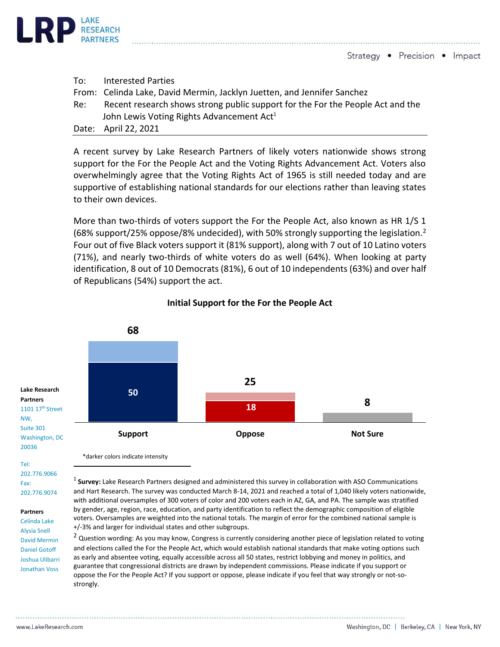

Strategy • Precision • Impact

| To: T | <b>Interested Parties</b>                                                      |
|-------|--------------------------------------------------------------------------------|
|       | From: Celinda Lake, David Mermin, Jacklyn Juetten, and Jennifer Sanchez        |
| Re:   | Recent research shows strong public support for the For the People Act and the |
|       | John Lewis Voting Rights Advancement Act <sup>1</sup>                          |
|       | Date: April 22, 2021                                                           |

A recent survey by Lake Research Partners of likely voters nationwide shows strong support for the For the People Act and the Voting Rights Advancement Act. Voters also overwhelmingly agree that the Voting Rights Act of 1965 is still needed today and are supportive of establishing national standards for our elections rather than leaving states to their own devices.

More than two-thirds of voters support the For the People Act, also known as HR 1/S 1 (68% support/25% oppose/8% undecided), with 50% strongly supporting the legislation.<sup>2</sup> Four out of five Black voters support it (81% support), along with 7 out of 10 Latino voters (71%), and nearly two-thirds of white voters do as well (64%). When looking at party identification, 8 out of 10 Democrats (81%), 6 out of 10 independents (63%) and over half of Republicans (54%) support the act.



## **Initial Support for the For the People Act**

\*darker colors indicate intensity

## NW, Suite 301

**Lake Research Partners** 1101 17<sup>th</sup> Street

Washington, DC 20036 Tel:

202.776.9066 Fax: 202.776.9074

**Partners**

Celinda Lake Alysia Snell David Mermin Daniel Gotoff Joshua Ulibarri Jonathan Voss

1 **Survey:** Lake Research Partners designed and administered this survey in collaboration with ASO Communications and Hart Research. The survey was conducted March 8-14, 2021 and reached a total of 1,040 likely voters nationwide, with additional oversamples of 300 voters of color and 200 voters each in AZ, GA, and PA. The sample was stratified by gender, age, region, race, education, and party identification to reflect the demographic composition of eligible voters. Oversamples are weighted into the national totals. The margin of error for the combined national sample is +/-3% and larger for individual states and other subgroups.

<sup>2</sup> Question wording: As you may know, Congress is currently considering another piece of legislation related to voting and elections called the For the People Act, which would establish national standards that make voting options such as early and absentee voting, equally accessible across all 50 states, restrict lobbying and money in politics, and guarantee that congressional districts are drawn by independent commissions. Please indicate if you support or oppose the For the People Act? If you support or oppose, please indicate if you feel that way strongly or not-sostrongly.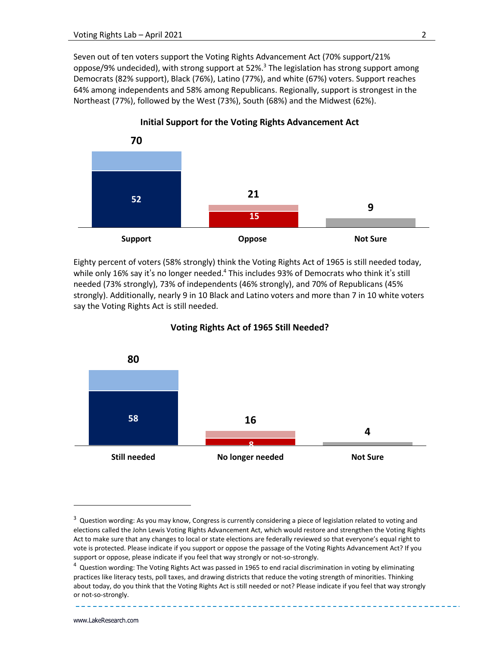Seven out of ten voters support the Voting Rights Advancement Act (70% support/21% oppose/9% undecided), with strong support at  $52\%$ <sup>3</sup> The legislation has strong support among Democrats (82% support), Black (76%), Latino (77%), and white (67%) voters. Support reaches 64% among independents and 58% among Republicans. Regionally, support is strongest in the Northeast (77%), followed by the West (73%), South (68%) and the Midwest (62%).

**Initial Support for the Voting Rights Advancement Act** 

**70 21 9 52 15 Support Oppose Not Sure**

Eighty percent of voters (58% strongly) think the Voting Rights Act of 1965 is still needed today, while only 16% say it's no longer needed.<sup>4</sup> This includes 93% of Democrats who think it's still needed (73% strongly), 73% of independents (46% strongly), and 70% of Republicans (45% strongly). Additionally, nearly 9 in 10 Black and Latino voters and more than 7 in 10 white voters say the Voting Rights Act is still needed.



## **Voting Rights Act of 1965 Still Needed?**

<sup>&</sup>lt;sup>3</sup> Question wording: As you may know, Congress is currently considering a piece of legislation related to voting and elections called the John Lewis Voting Rights Advancement Act, which would restore and strengthen the Voting Rights Act to make sure that any changes to local or state elections are federally reviewed so that everyone's equal right to vote is protected. Please indicate if you support or oppose the passage of the Voting Rights Advancement Act? If you support or oppose, please indicate if you feel that way strongly or not-so-strongly.

<sup>&</sup>lt;sup>4</sup> Question wording: The Voting Rights Act was passed in 1965 to end racial discrimination in voting by eliminating practices like literacy tests, poll taxes, and drawing districts that reduce the voting strength of minorities. Thinking about today, do you think that the Voting Rights Act is still needed or not? Please indicate if you feel that way strongly or not-so-strongly.